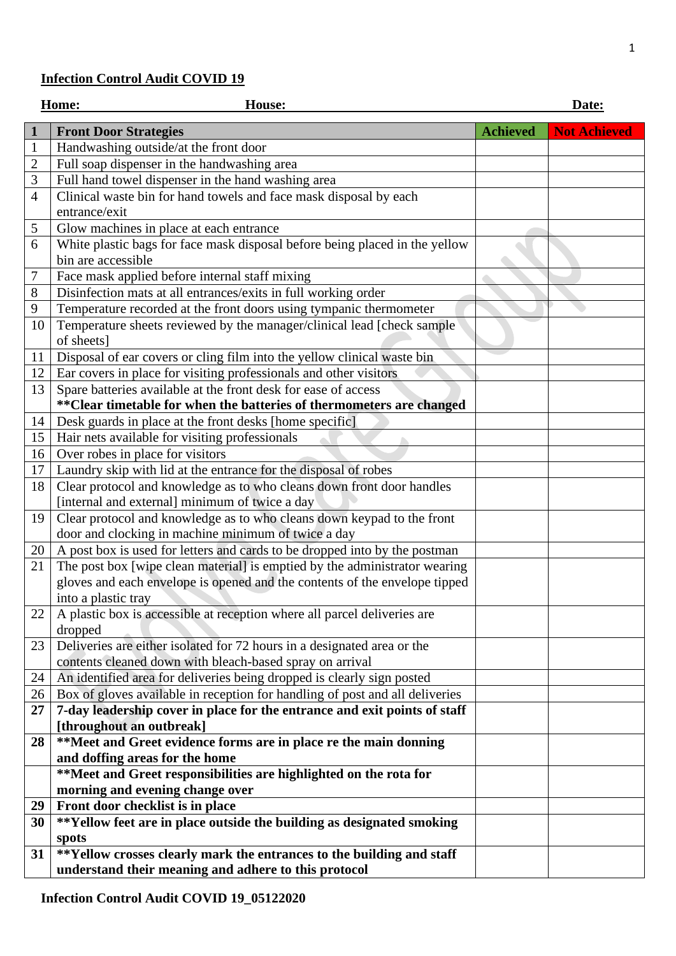## **Infection Control Audit COVID 19**

|                | House:<br>Home:                                                                                                                         |                 | Date:               |
|----------------|-----------------------------------------------------------------------------------------------------------------------------------------|-----------------|---------------------|
| $\mathbf{1}$   | <b>Front Door Strategies</b>                                                                                                            | <b>Achieved</b> | <b>Not Achieved</b> |
| 1              | Handwashing outside/at the front door                                                                                                   |                 |                     |
| $\overline{c}$ | Full soap dispenser in the handwashing area                                                                                             |                 |                     |
| 3              | Full hand towel dispenser in the hand washing area                                                                                      |                 |                     |
| $\overline{4}$ | Clinical waste bin for hand towels and face mask disposal by each                                                                       |                 |                     |
|                | entrance/exit                                                                                                                           |                 |                     |
| 5              | Glow machines in place at each entrance                                                                                                 |                 |                     |
| 6              | White plastic bags for face mask disposal before being placed in the yellow<br>bin are accessible                                       |                 |                     |
| 7              | Face mask applied before internal staff mixing                                                                                          |                 |                     |
| 8              | Disinfection mats at all entrances/exits in full working order                                                                          |                 |                     |
| 9              | Temperature recorded at the front doors using tympanic thermometer                                                                      |                 |                     |
| 10             | Temperature sheets reviewed by the manager/clinical lead [check sample<br>of sheets]                                                    |                 |                     |
| 11             | Disposal of ear covers or cling film into the yellow clinical waste bin                                                                 |                 |                     |
| 12             | Ear covers in place for visiting professionals and other visitors                                                                       |                 |                     |
| 13             | Spare batteries available at the front desk for ease of access<br>** Clear timetable for when the batteries of thermometers are changed |                 |                     |
| 14             | Desk guards in place at the front desks [home specific]                                                                                 |                 |                     |
| 15             | Hair nets available for visiting professionals                                                                                          |                 |                     |
| 16             | Over robes in place for visitors                                                                                                        |                 |                     |
| 17             | Laundry skip with lid at the entrance for the disposal of robes                                                                         |                 |                     |
| 18             | Clear protocol and knowledge as to who cleans down front door handles                                                                   |                 |                     |
|                | [internal and external] minimum of twice a day                                                                                          |                 |                     |
| 19             | Clear protocol and knowledge as to who cleans down keypad to the front                                                                  |                 |                     |
|                | door and clocking in machine minimum of twice a day                                                                                     |                 |                     |
| 20             | A post box is used for letters and cards to be dropped into by the postman                                                              |                 |                     |
| 21             | The post box [wipe clean material] is emptied by the administrator wearing                                                              |                 |                     |
|                | gloves and each envelope is opened and the contents of the envelope tipped                                                              |                 |                     |
|                | into a plastic tray                                                                                                                     |                 |                     |
| 22             | A plastic box is accessible at reception where all parcel deliveries are<br>dropped                                                     |                 |                     |
| 23             | Deliveries are either isolated for 72 hours in a designated area or the                                                                 |                 |                     |
|                | contents cleaned down with bleach-based spray on arrival                                                                                |                 |                     |
| 24             | An identified area for deliveries being dropped is clearly sign posted                                                                  |                 |                     |
| 26             | Box of gloves available in reception for handling of post and all deliveries                                                            |                 |                     |
| 27             | 7-day leadership cover in place for the entrance and exit points of staff                                                               |                 |                     |
|                | [throughout an outbreak]                                                                                                                |                 |                     |
| 28             | **Meet and Greet evidence forms are in place re the main donning                                                                        |                 |                     |
|                | and doffing areas for the home                                                                                                          |                 |                     |
|                | **Meet and Greet responsibilities are highlighted on the rota for                                                                       |                 |                     |
|                | morning and evening change over                                                                                                         |                 |                     |
| 29             | Front door checklist is in place                                                                                                        |                 |                     |
| 30             | ** Yellow feet are in place outside the building as designated smoking                                                                  |                 |                     |
|                | spots                                                                                                                                   |                 |                     |
| 31             | ** Yellow crosses clearly mark the entrances to the building and staff                                                                  |                 |                     |
|                | understand their meaning and adhere to this protocol                                                                                    |                 |                     |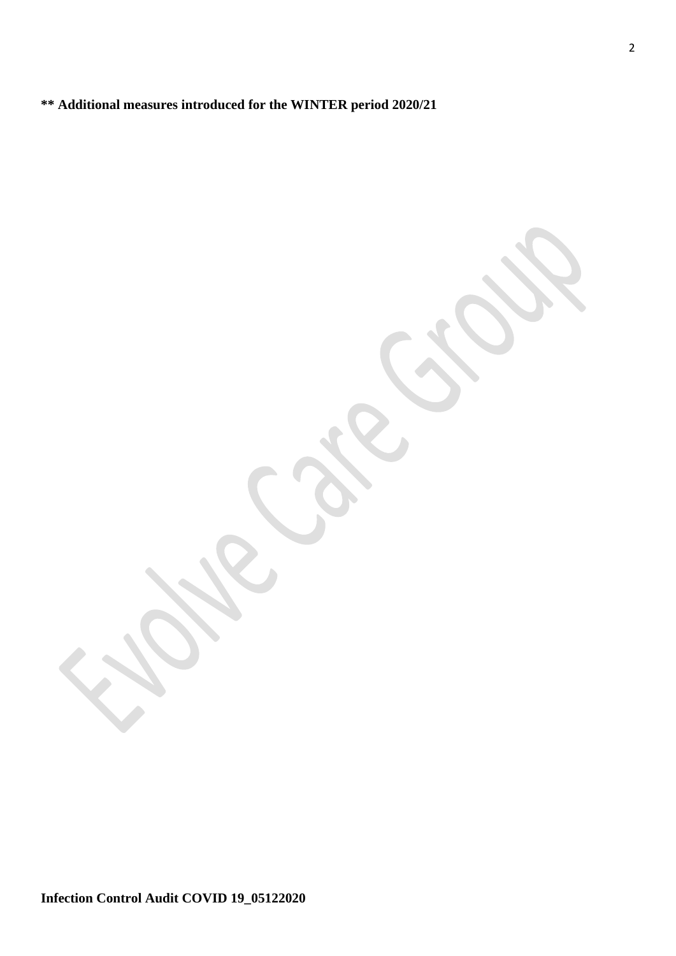**\*\* Additional measures introduced for the WINTER period 2020/21**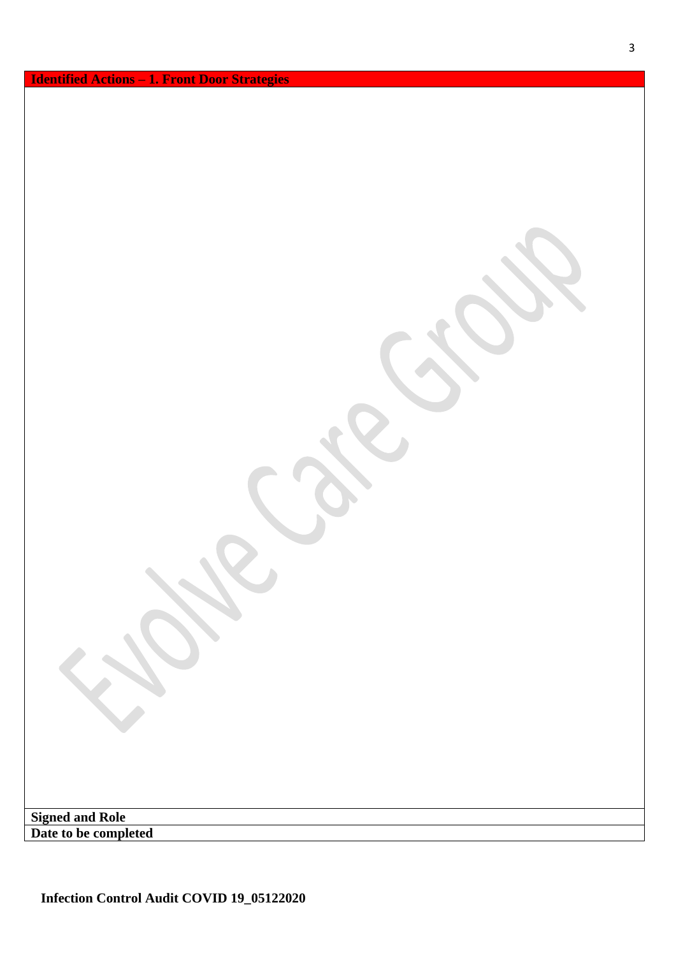| <b>Identified Actions - 1. Front Door Strategies</b> |  |  |
|------------------------------------------------------|--|--|
|                                                      |  |  |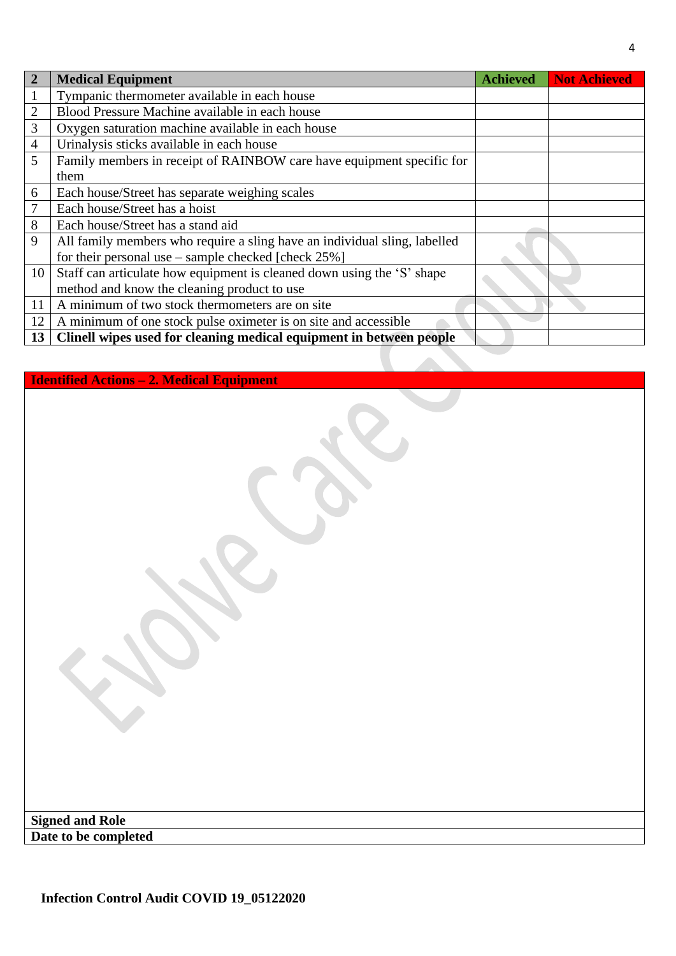| $\overline{2}$ | <b>Medical Equipment</b>                                                  | <b>Achieved</b> | <b>Not Achieved</b> |
|----------------|---------------------------------------------------------------------------|-----------------|---------------------|
|                | Tympanic thermometer available in each house                              |                 |                     |
| $\overline{2}$ | Blood Pressure Machine available in each house                            |                 |                     |
| 3              | Oxygen saturation machine available in each house                         |                 |                     |
| 4              | Urinalysis sticks available in each house                                 |                 |                     |
| 5              | Family members in receipt of RAINBOW care have equipment specific for     |                 |                     |
|                | them                                                                      |                 |                     |
| 6              | Each house/Street has separate weighing scales                            |                 |                     |
| 7              | Each house/Street has a hoist                                             |                 |                     |
| 8              | Each house/Street has a stand aid                                         |                 |                     |
| 9              | All family members who require a sling have an individual sling, labelled |                 |                     |
|                | for their personal use $-$ sample checked [check 25%]                     |                 |                     |
| 10             | Staff can articulate how equipment is cleaned down using the 'S' shape    |                 |                     |
|                | method and know the cleaning product to use                               |                 |                     |
| 11             | A minimum of two stock thermometers are on site                           |                 |                     |
| 12             | A minimum of one stock pulse oximeter is on site and accessible           |                 |                     |
| 13             | Clinell wipes used for cleaning medical equipment in between people       |                 |                     |

| <b>Identified Actions - 2. Medical Equipment</b> |
|--------------------------------------------------|
|                                                  |
|                                                  |
|                                                  |
|                                                  |
|                                                  |
| <b>Signed and Role</b>                           |
| Date to be completed                             |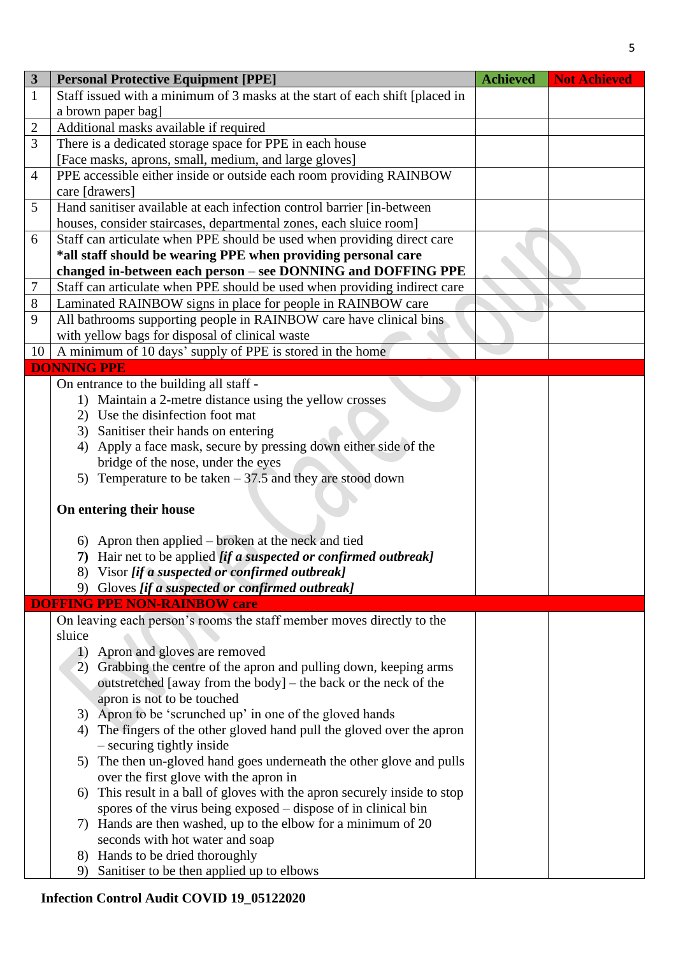| $\mathbf{3}$   | <b>Personal Protective Equipment [PPE]</b>                                                          | <b>Achieved</b> | <b>Not Achieved</b> |
|----------------|-----------------------------------------------------------------------------------------------------|-----------------|---------------------|
| $\mathbf{1}$   | Staff issued with a minimum of 3 masks at the start of each shift [placed in                        |                 |                     |
|                | a brown paper bag]                                                                                  |                 |                     |
| $\overline{2}$ | Additional masks available if required                                                              |                 |                     |
| 3              | There is a dedicated storage space for PPE in each house                                            |                 |                     |
|                | [Face masks, aprons, small, medium, and large gloves]                                               |                 |                     |
| $\overline{4}$ | PPE accessible either inside or outside each room providing RAINBOW                                 |                 |                     |
|                | care [drawers]                                                                                      |                 |                     |
| 5              | Hand sanitiser available at each infection control barrier [in-between]                             |                 |                     |
|                | houses, consider staircases, departmental zones, each sluice room]                                  |                 |                     |
| 6              | Staff can articulate when PPE should be used when providing direct care                             |                 |                     |
|                | *all staff should be wearing PPE when providing personal care                                       |                 |                     |
|                | changed in-between each person - see DONNING and DOFFING PPE                                        |                 |                     |
| 7              | Staff can articulate when PPE should be used when providing indirect care                           |                 |                     |
| 8              | Laminated RAINBOW signs in place for people in RAINBOW care                                         |                 |                     |
| 9              | All bathrooms supporting people in RAINBOW care have clinical bins                                  |                 |                     |
|                | with yellow bags for disposal of clinical waste                                                     |                 |                     |
| 10             | A minimum of 10 days' supply of PPE is stored in the home                                           |                 |                     |
|                | <b>DONNING PPE</b>                                                                                  |                 |                     |
|                | On entrance to the building all staff -                                                             |                 |                     |
|                | 1) Maintain a 2-metre distance using the yellow crosses                                             |                 |                     |
|                | 2) Use the disinfection foot mat                                                                    |                 |                     |
|                | 3) Sanitiser their hands on entering                                                                |                 |                     |
|                | 4) Apply a face mask, secure by pressing down either side of the                                    |                 |                     |
|                | bridge of the nose, under the eyes                                                                  |                 |                     |
|                | 5) Temperature to be taken $-37.5$ and they are stood down                                          |                 |                     |
|                | On entering their house                                                                             |                 |                     |
|                |                                                                                                     |                 |                     |
|                | 6) Apron then applied – broken at the neck and tied                                                 |                 |                     |
|                | 7) Hair net to be applied <i>[if a suspected or confirmed outbreak]</i>                             |                 |                     |
|                | 8) Visor [if a suspected or confirmed outbreak]                                                     |                 |                     |
|                | 9) Gloves [if a suspected or confirmed outbreak]                                                    |                 |                     |
|                | <b>DOFFING PPE NON-RAINBOW care</b>                                                                 |                 |                     |
|                | On leaving each person's rooms the staff member moves directly to the                               |                 |                     |
|                | sluice                                                                                              |                 |                     |
|                | Apron and gloves are removed<br>1)                                                                  |                 |                     |
|                | 2) Grabbing the centre of the apron and pulling down, keeping arms                                  |                 |                     |
|                | outstretched [away from the body] – the back or the neck of the                                     |                 |                     |
|                | apron is not to be touched                                                                          |                 |                     |
|                | 3) Apron to be 'scrunched up' in one of the gloved hands                                            |                 |                     |
|                | 4) The fingers of the other gloved hand pull the gloved over the apron                              |                 |                     |
|                | - securing tightly inside                                                                           |                 |                     |
|                | The then un-gloved hand goes underneath the other glove and pulls<br>5)                             |                 |                     |
|                | over the first glove with the apron in                                                              |                 |                     |
|                | This result in a ball of gloves with the apron securely inside to stop<br>6)                        |                 |                     |
|                | spores of the virus being exposed – dispose of in clinical bin                                      |                 |                     |
|                | Hands are then washed, up to the elbow for a minimum of 20<br>7)<br>seconds with hot water and soap |                 |                     |
|                | 8) Hands to be dried thoroughly                                                                     |                 |                     |
|                | Sanitiser to be then applied up to elbows<br>9)                                                     |                 |                     |
|                |                                                                                                     |                 |                     |

## **Infection Control Audit COVID 19\_05122020**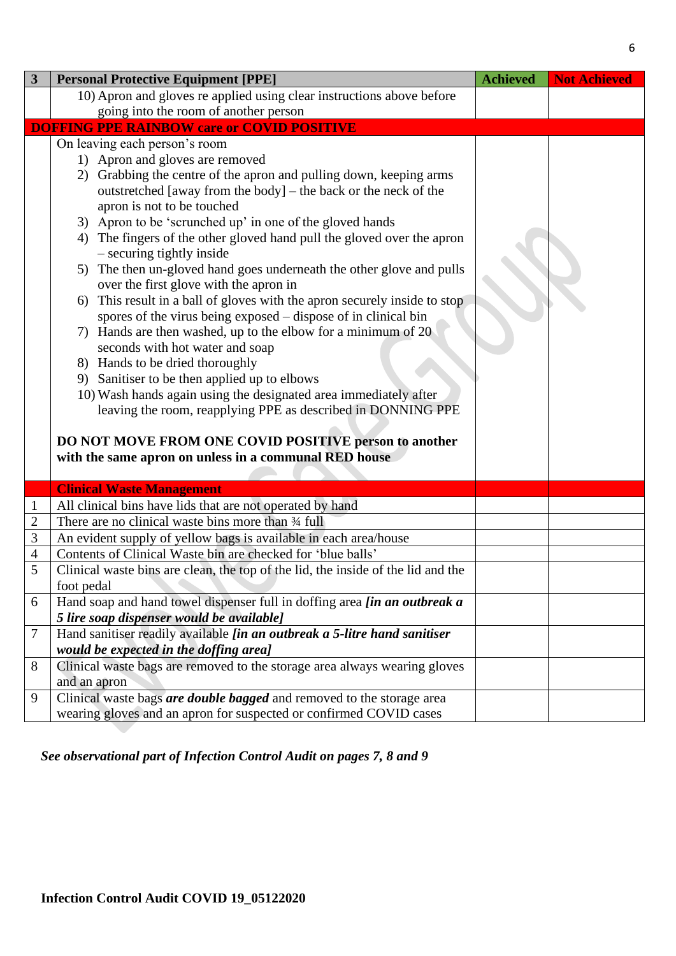| 3              | <b>Personal Protective Equipment [PPE]</b>                                                          | <b>Achieved</b> | <b>Not Achieved</b> |
|----------------|-----------------------------------------------------------------------------------------------------|-----------------|---------------------|
|                | 10) Apron and gloves re applied using clear instructions above before                               |                 |                     |
|                | going into the room of another person                                                               |                 |                     |
|                | <b>DOFFING PPE RAINBOW care or COVID POSITIVE</b>                                                   |                 |                     |
|                | On leaving each person's room                                                                       |                 |                     |
|                | 1) Apron and gloves are removed                                                                     |                 |                     |
|                | 2) Grabbing the centre of the apron and pulling down, keeping arms                                  |                 |                     |
|                | outstretched [away from the body] – the back or the neck of the                                     |                 |                     |
|                | apron is not to be touched                                                                          |                 |                     |
|                | 3) Apron to be 'scrunched up' in one of the gloved hands                                            |                 |                     |
|                | 4) The fingers of the other gloved hand pull the gloved over the apron<br>- securing tightly inside |                 |                     |
|                | The then un-gloved hand goes underneath the other glove and pulls<br>5)                             |                 |                     |
|                | over the first glove with the apron in                                                              |                 |                     |
|                | This result in a ball of gloves with the apron securely inside to stop<br>6)                        |                 |                     |
|                | spores of the virus being exposed – dispose of in clinical bin                                      |                 |                     |
|                | 7) Hands are then washed, up to the elbow for a minimum of 20                                       |                 |                     |
|                | seconds with hot water and soap                                                                     |                 |                     |
|                | 8) Hands to be dried thoroughly                                                                     |                 |                     |
|                | 9) Sanitiser to be then applied up to elbows                                                        |                 |                     |
|                | 10) Wash hands again using the designated area immediately after                                    |                 |                     |
|                | leaving the room, reapplying PPE as described in DONNING PPE                                        |                 |                     |
|                |                                                                                                     |                 |                     |
|                | DO NOT MOVE FROM ONE COVID POSITIVE person to another                                               |                 |                     |
|                | with the same apron on unless in a communal RED house                                               |                 |                     |
|                | <b>Clinical Waste Management</b>                                                                    |                 |                     |
| $\mathbf{1}$   | All clinical bins have lids that are not operated by hand                                           |                 |                     |
| $\overline{2}$ | There are no clinical waste bins more than 34 full                                                  |                 |                     |
| 3              | An evident supply of yellow bags is available in each area/house                                    |                 |                     |
| $\overline{4}$ | Contents of Clinical Waste bin are checked for 'blue balls'                                         |                 |                     |
| 5              | Clinical waste bins are clean, the top of the lid, the inside of the lid and the                    |                 |                     |
|                | foot pedal                                                                                          |                 |                     |
| 6              | Hand soap and hand towel dispenser full in doffing area [in an outbreak a                           |                 |                     |
|                | 5 lire soap dispenser would be available]                                                           |                 |                     |
| 7              | Hand sanitiser readily available [in an outbreak a 5-litre hand sanitiser                           |                 |                     |
|                | would be expected in the doffing area]                                                              |                 |                     |
| 8              | Clinical waste bags are removed to the storage area always wearing gloves                           |                 |                     |
|                | and an apron                                                                                        |                 |                     |
| 9              | Clinical waste bags are double bagged and removed to the storage area                               |                 |                     |
|                | wearing gloves and an apron for suspected or confirmed COVID cases                                  |                 |                     |

*See observational part of Infection Control Audit on pages 7, 8 and 9*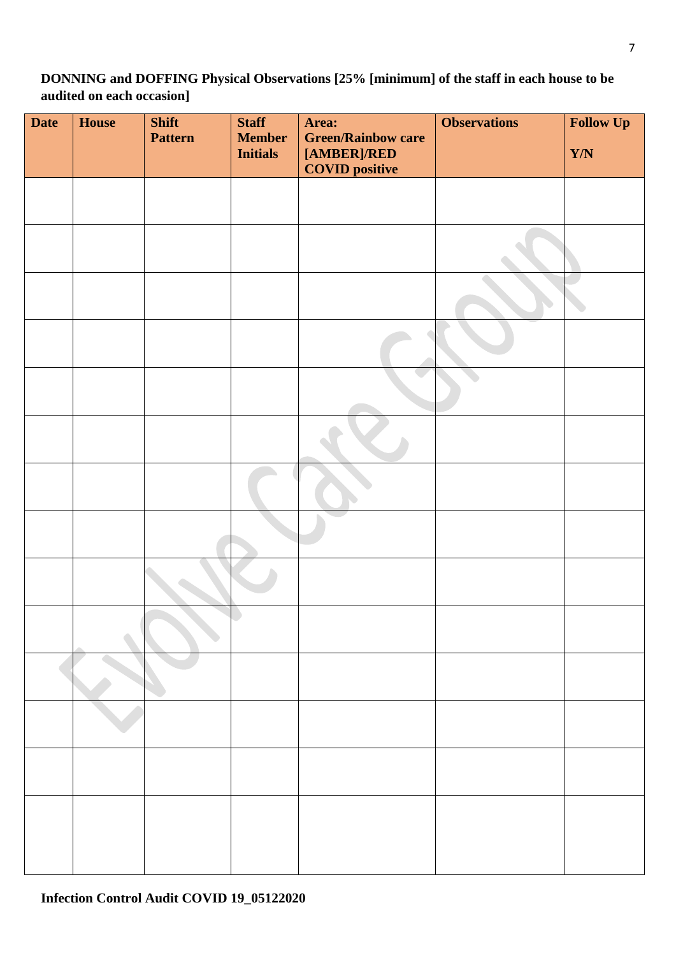**DONNING and DOFFING Physical Observations [25% [minimum] of the staff in each house to be audited on each occasion]**

| <b>Date</b> | <b>House</b> | <b>Shift</b>   | <b>Staff</b>                     | Area:                                                             | <b>Observations</b> | <b>Follow Up</b>        |
|-------------|--------------|----------------|----------------------------------|-------------------------------------------------------------------|---------------------|-------------------------|
|             |              | <b>Pattern</b> | <b>Member</b><br><b>Initials</b> | <b>Green/Rainbow care</b><br>[AMBER]/RED<br><b>COVID positive</b> |                     | $\mathbf{Y}/\mathbf{N}$ |
|             |              |                |                                  |                                                                   |                     |                         |
|             |              |                |                                  |                                                                   |                     |                         |
|             |              |                |                                  |                                                                   |                     |                         |
|             |              |                |                                  |                                                                   |                     |                         |
|             |              |                |                                  |                                                                   |                     |                         |
|             |              |                |                                  |                                                                   |                     |                         |
|             |              |                |                                  |                                                                   |                     |                         |
|             |              |                |                                  |                                                                   |                     |                         |
|             |              |                |                                  |                                                                   |                     |                         |
|             |              |                |                                  |                                                                   |                     |                         |
|             |              |                |                                  |                                                                   |                     |                         |
|             |              |                |                                  |                                                                   |                     |                         |
|             |              |                |                                  |                                                                   |                     |                         |
|             |              |                |                                  |                                                                   |                     |                         |
|             |              |                |                                  |                                                                   |                     |                         |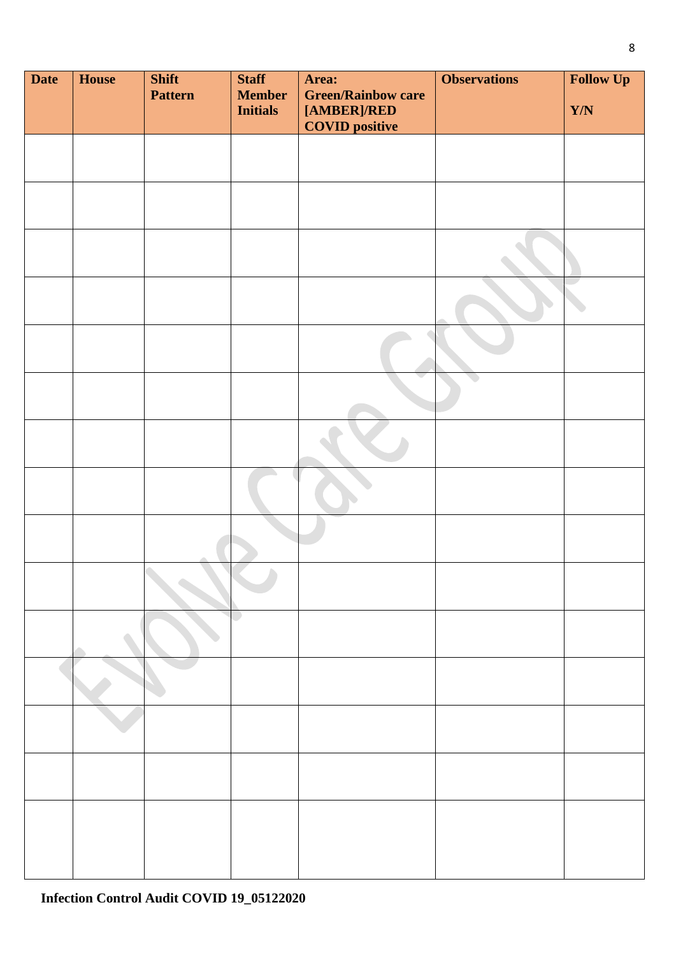| <b>Date</b> | <b>House</b> | <b>Shift</b>   | <b>Staff</b>                     | Area:                                      | <b>Observations</b> | <b>Follow Up</b> |
|-------------|--------------|----------------|----------------------------------|--------------------------------------------|---------------------|------------------|
|             |              | <b>Pattern</b> | <b>Member</b><br><b>Initials</b> | <b>Green/Rainbow care</b><br>$[AMBER]/RED$ |                     | Y/N              |
|             |              |                |                                  | <b>COVID positive</b>                      |                     |                  |
|             |              |                |                                  |                                            |                     |                  |
|             |              |                |                                  |                                            |                     |                  |
|             |              |                |                                  |                                            |                     |                  |
|             |              |                |                                  |                                            |                     |                  |
|             |              |                |                                  |                                            |                     |                  |
|             |              |                |                                  |                                            |                     |                  |
|             |              |                |                                  |                                            |                     |                  |
|             |              |                |                                  |                                            |                     |                  |
|             |              |                |                                  |                                            |                     |                  |
|             |              |                |                                  |                                            |                     |                  |
|             |              |                |                                  |                                            |                     |                  |
|             |              |                |                                  |                                            |                     |                  |
|             |              |                |                                  |                                            |                     |                  |
|             |              |                |                                  |                                            |                     |                  |
|             |              |                |                                  |                                            |                     |                  |
|             |              |                |                                  |                                            |                     |                  |
|             |              |                |                                  |                                            |                     |                  |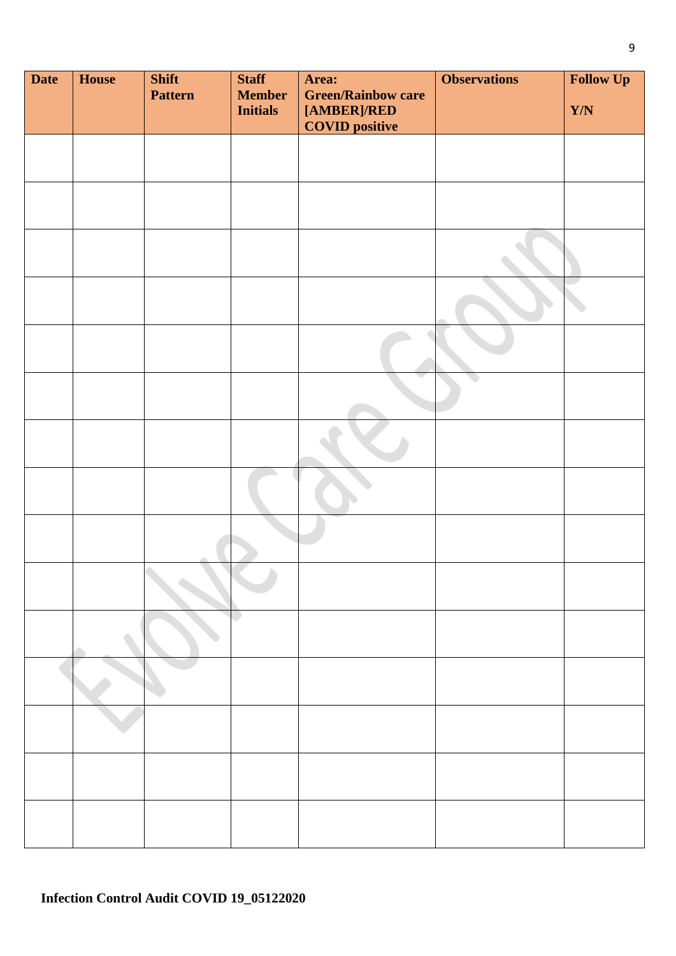| <b>Date</b> | House | <b>Shift</b>   | <b>Staff</b>                     | Area:                                    | <b>Observations</b> | <b>Follow Up</b>        |
|-------------|-------|----------------|----------------------------------|------------------------------------------|---------------------|-------------------------|
|             |       | <b>Pattern</b> | <b>Member</b><br><b>Initials</b> | <b>Green/Rainbow care</b><br>[AMBER]/RED |                     | $\mathbf{Y}/\mathbf{N}$ |
|             |       |                |                                  | <b>COVID positive</b>                    |                     |                         |
|             |       |                |                                  |                                          |                     |                         |
|             |       |                |                                  |                                          |                     |                         |
|             |       |                |                                  |                                          |                     |                         |
|             |       |                |                                  |                                          |                     |                         |
|             |       |                |                                  |                                          |                     |                         |
|             |       |                |                                  |                                          |                     |                         |
|             |       |                |                                  |                                          |                     |                         |
|             |       |                |                                  |                                          |                     |                         |
|             |       |                |                                  |                                          |                     |                         |
|             |       |                |                                  |                                          |                     |                         |
|             |       |                |                                  |                                          |                     |                         |
|             |       |                |                                  |                                          |                     |                         |
|             |       |                |                                  |                                          |                     |                         |
|             |       |                |                                  |                                          |                     |                         |
|             |       |                |                                  |                                          |                     |                         |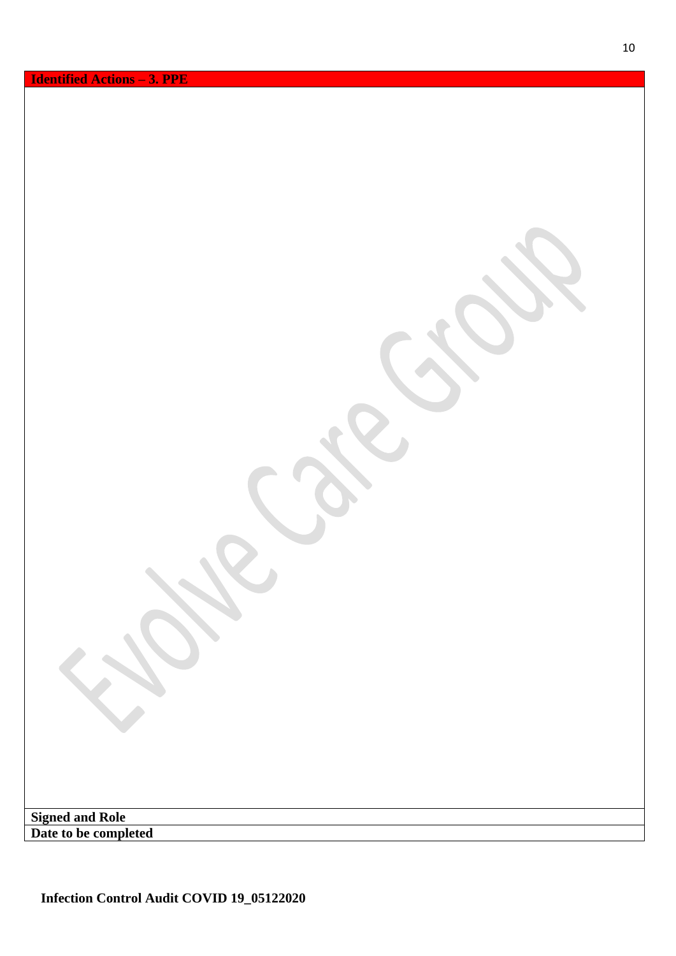|  |  |  | <b>Identified Actions – 3. PPE</b> |
|--|--|--|------------------------------------|
|  |  |  |                                    |

10

| <b>Signed and Role</b> |
|------------------------|
| Date to be completed   |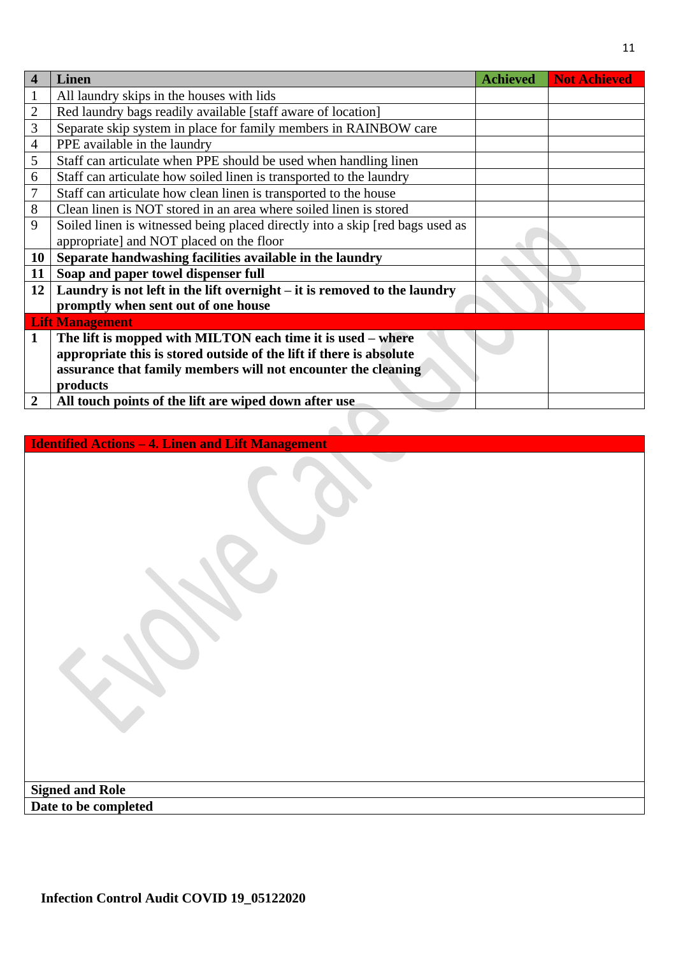| $\overline{\mathbf{4}}$ | Linen                                                                         | <b>Achieved</b> | <b>Not Achieved</b> |
|-------------------------|-------------------------------------------------------------------------------|-----------------|---------------------|
| $\mathbf{1}$            | All laundry skips in the houses with lids                                     |                 |                     |
| $\overline{2}$          | Red laundry bags readily available [staff aware of location]                  |                 |                     |
| 3                       | Separate skip system in place for family members in RAINBOW care              |                 |                     |
| $\overline{4}$          | PPE available in the laundry                                                  |                 |                     |
| 5                       | Staff can articulate when PPE should be used when handling linen              |                 |                     |
| 6                       | Staff can articulate how soiled linen is transported to the laundry           |                 |                     |
| 7                       | Staff can articulate how clean linen is transported to the house              |                 |                     |
| 8                       | Clean linen is NOT stored in an area where soiled linen is stored             |                 |                     |
| 9                       | Soiled linen is witnessed being placed directly into a skip [red bags used as |                 |                     |
|                         | appropriate] and NOT placed on the floor                                      |                 |                     |
| 10                      | Separate handwashing facilities available in the laundry                      |                 |                     |
| 11                      | Soap and paper towel dispenser full                                           |                 |                     |
| 12                      | Laundry is not left in the lift overnight – it is removed to the laundry      |                 |                     |
|                         | promptly when sent out of one house                                           |                 |                     |
|                         | <b>Lift Management</b>                                                        |                 |                     |
| $\mathbf{1}$            | The lift is mopped with MILTON each time it is used – where                   |                 |                     |
|                         | appropriate this is stored outside of the lift if there is absolute           |                 |                     |
|                         | assurance that family members will not encounter the cleaning                 |                 |                     |
|                         | products                                                                      |                 |                     |
| $\overline{2}$          | All touch points of the lift are wiped down after use                         |                 |                     |

**Identified Actions – 4. Linen and Lift Management**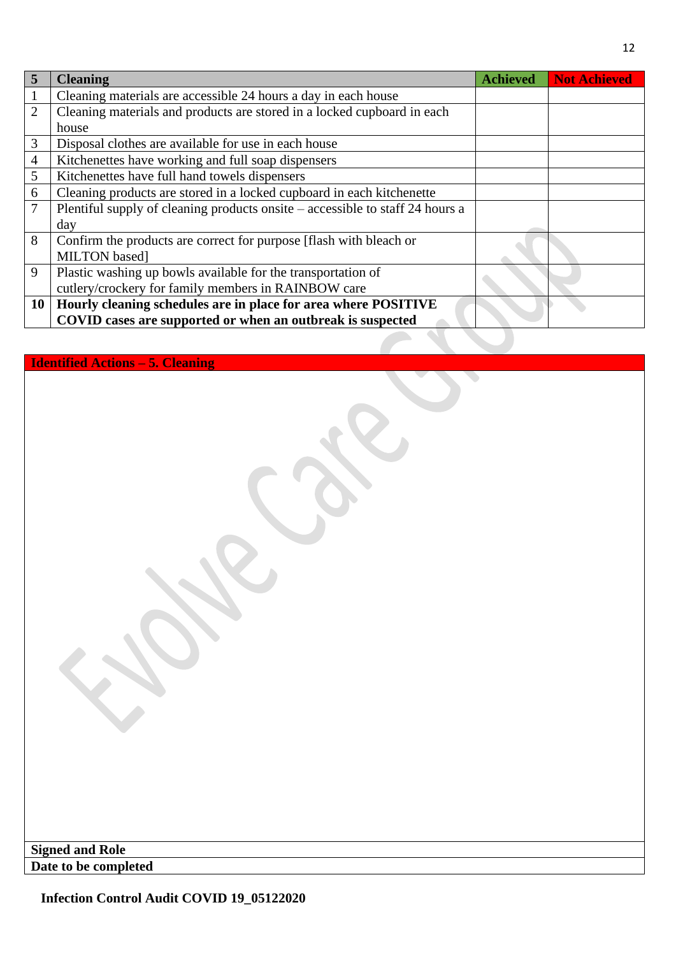| 5  | <b>Cleaning</b>                                                               | <b>Achieved</b> | <b>Not Achieved</b> |
|----|-------------------------------------------------------------------------------|-----------------|---------------------|
|    | Cleaning materials are accessible 24 hours a day in each house                |                 |                     |
| 2  | Cleaning materials and products are stored in a locked cupboard in each       |                 |                     |
|    | house                                                                         |                 |                     |
| 3  | Disposal clothes are available for use in each house                          |                 |                     |
| 4  | Kitchenettes have working and full soap dispensers                            |                 |                     |
| 5  | Kitchenettes have full hand towels dispensers                                 |                 |                     |
| 6  | Cleaning products are stored in a locked cupboard in each kitchenette         |                 |                     |
| 7  | Plentiful supply of cleaning products onsite – accessible to staff 24 hours a |                 |                     |
|    | day                                                                           |                 |                     |
| 8  | Confirm the products are correct for purpose [flash with bleach or            |                 |                     |
|    | MILTON based]                                                                 |                 |                     |
| 9  | Plastic washing up bowls available for the transportation of                  |                 |                     |
|    | cutlery/crockery for family members in RAINBOW care                           |                 |                     |
| 10 | Hourly cleaning schedules are in place for area where POSITIVE                |                 |                     |
|    | COVID cases are supported or when an outbreak is suspected                    |                 |                     |

# **Identified Actions – 5. Cleaning**

**Signed and Role Date to be completed**

**Infection Control Audit COVID 19\_05122020**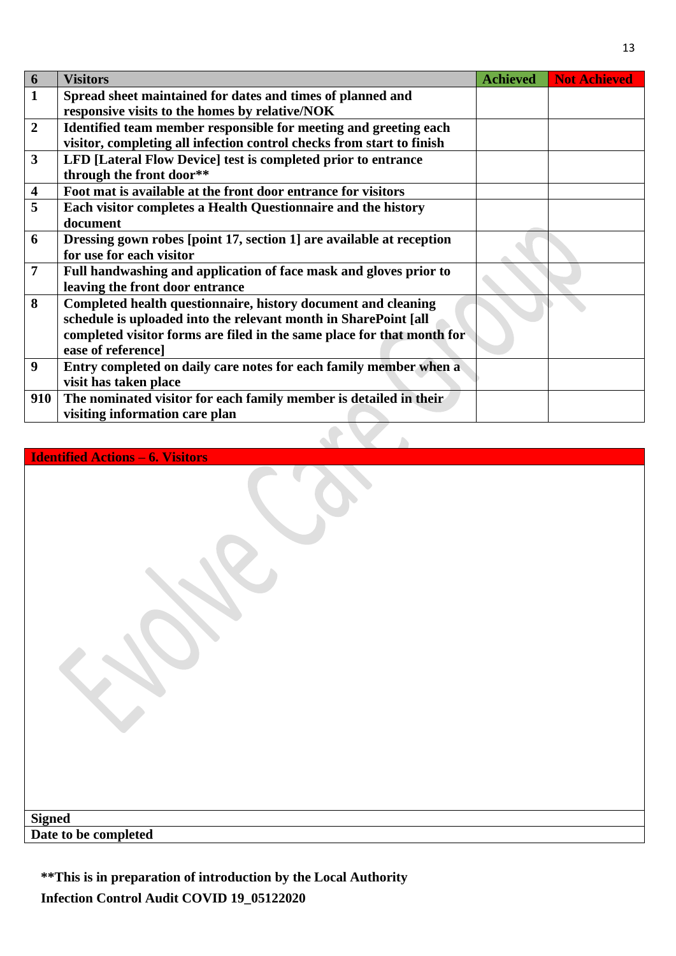| 6                       | <b>Visitors</b>                                                        | <b>Achieved</b> | <b>Not Achieved</b> |
|-------------------------|------------------------------------------------------------------------|-----------------|---------------------|
| 1                       | Spread sheet maintained for dates and times of planned and             |                 |                     |
|                         | responsive visits to the homes by relative/NOK                         |                 |                     |
| $\overline{2}$          | Identified team member responsible for meeting and greeting each       |                 |                     |
|                         | visitor, completing all infection control checks from start to finish  |                 |                     |
| $\overline{\mathbf{3}}$ | LFD [Lateral Flow Device] test is completed prior to entrance          |                 |                     |
|                         | through the front door**                                               |                 |                     |
| $\overline{\mathbf{4}}$ | Foot mat is available at the front door entrance for visitors          |                 |                     |
| 5                       | Each visitor completes a Health Questionnaire and the history          |                 |                     |
|                         | document                                                               |                 |                     |
| 6                       | Dressing gown robes [point 17, section 1] are available at reception   |                 |                     |
|                         | for use for each visitor                                               |                 |                     |
| $\overline{7}$          | Full handwashing and application of face mask and gloves prior to      |                 |                     |
|                         | leaving the front door entrance                                        |                 |                     |
| 8                       | Completed health questionnaire, history document and cleaning          |                 |                     |
|                         | schedule is uploaded into the relevant month in SharePoint [all        |                 |                     |
|                         | completed visitor forms are filed in the same place for that month for |                 |                     |
|                         | ease of reference]                                                     |                 |                     |
| 9                       | Entry completed on daily care notes for each family member when a      |                 |                     |
|                         | visit has taken place                                                  |                 |                     |
| 910                     | The nominated visitor for each family member is detailed in their      |                 |                     |
|                         | visiting information care plan                                         |                 |                     |

**Identified Actions – 6. Visitors** 

| Signed<br>Date to be completed |  |  |
|--------------------------------|--|--|
|                                |  |  |

**Infection Control Audit COVID 19\_05122020 \*\*This is in preparation of introduction by the Local Authority**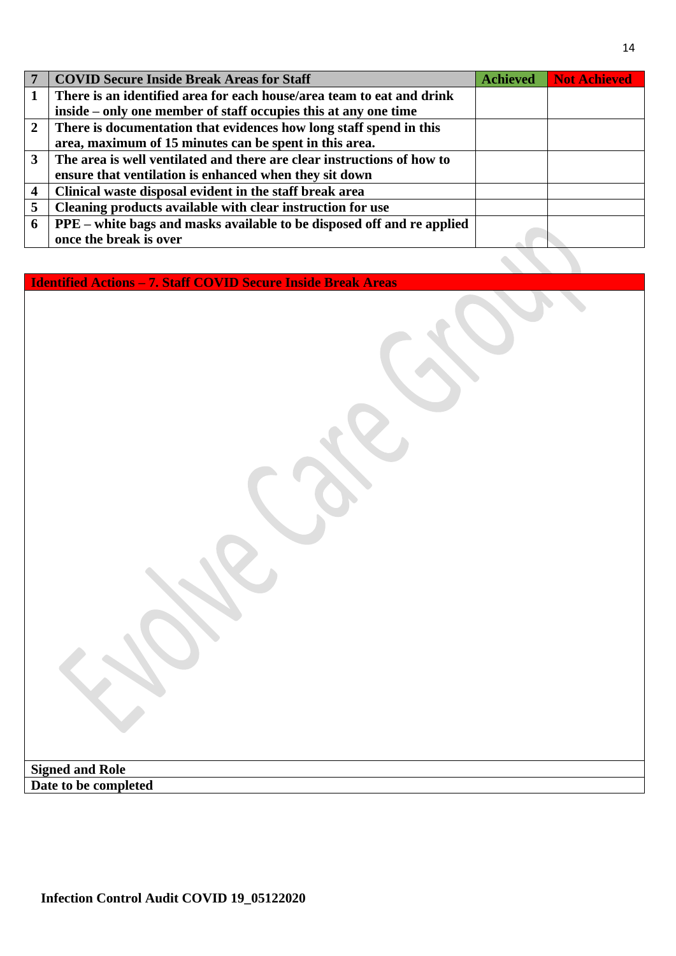|                  | <b>COVID Secure Inside Break Areas for Staff</b>                       | <b>Achieved</b> | <b>Not Achieved</b> |
|------------------|------------------------------------------------------------------------|-----------------|---------------------|
| 1                | There is an identified area for each house/area team to eat and drink  |                 |                     |
|                  | inside – only one member of staff occupies this at any one time        |                 |                     |
| $\overline{2}$   | There is documentation that evidences how long staff spend in this     |                 |                     |
|                  | area, maximum of 15 minutes can be spent in this area.                 |                 |                     |
| 3                | The area is well ventilated and there are clear instructions of how to |                 |                     |
|                  | ensure that ventilation is enhanced when they sit down                 |                 |                     |
| $\boldsymbol{4}$ | Clinical waste disposal evident in the staff break area                |                 |                     |
| 5                | Cleaning products available with clear instruction for use             |                 |                     |
| 6                | PPE – white bags and masks available to be disposed off and re applied |                 |                     |
|                  | once the break is over                                                 |                 |                     |

**Identified Actions – 7. Staff COVID Secure Inside Break Areas**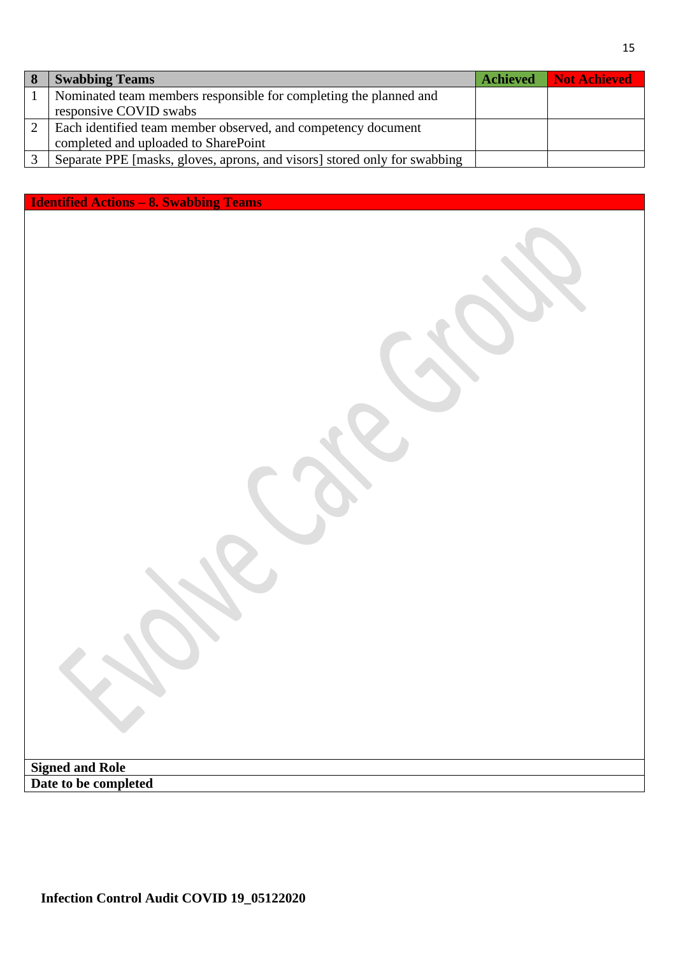| <b>Swabbing Teams</b>                                                     | <b>Achieved</b> | Not Achieved |
|---------------------------------------------------------------------------|-----------------|--------------|
| Nominated team members responsible for completing the planned and         |                 |              |
| responsive COVID swabs                                                    |                 |              |
| Each identified team member observed, and competency document             |                 |              |
| completed and uploaded to SharePoint                                      |                 |              |
| Separate PPE [masks, gloves, aprons, and visors] stored only for swabbing |                 |              |

## **Identified Actions – 8. Swabbing Teams**